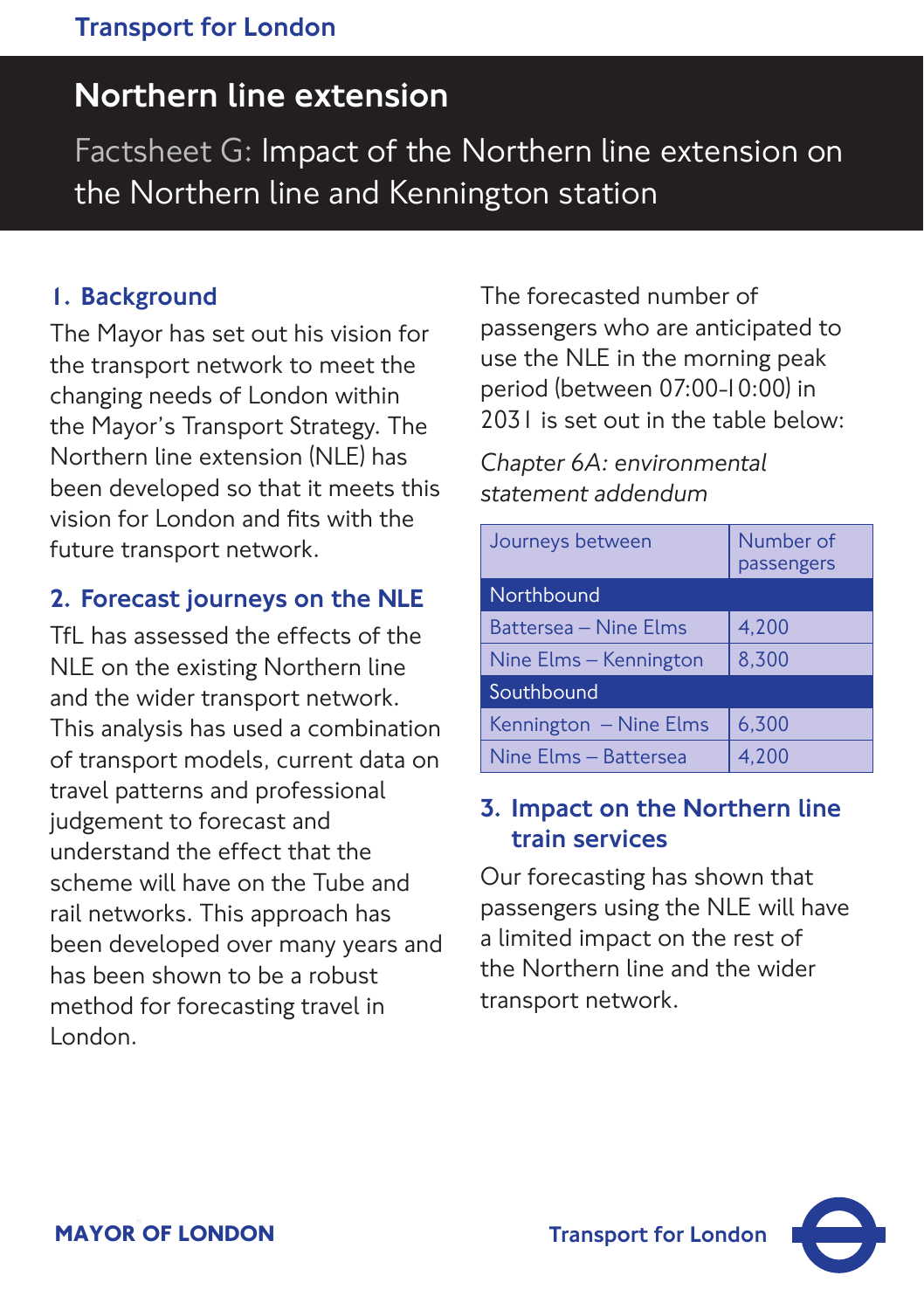# Northern line extension Northern line extension

Factsheet G: Impact of the Northern line extension on the Northern line and Kennington station

#### 1. Background

The Mayor has set out his vision for the transport network to meet the changing needs of London within the Mayor's Transport Strategy. The Northern line extension (NLE) has been developed so that it meets this vision for London and fits with the future transport network.

### 2. Forecast journeys on the NLE

TfL has assessed the effects of the NLE on the existing Northern line and the wider transport network. This analysis has used a combination of transport models, current data on travel patterns and professional judgement to forecast and understand the effect that the scheme will have on the Tube and rail networks. This approach has been developed over many years and has been shown to be a robust method for forecasting travel in London.

The forecasted number of passengers who are anticipated to use the NLE in the morning peak period (between 07:00-10:00) in 2031 is set out in the table below:

*Chapter 6A: environmental statement addendum*

| Journeys between       | Number of<br>passengers |
|------------------------|-------------------------|
| Northbound             |                         |
| Battersea – Nine Elms  | 4,200                   |
| Nine Elms - Kennington | 8,300                   |
| Southbound             |                         |
| Kennington - Nine Elms | 6,300                   |
| Nine Elms - Battersea  | 4.200                   |

#### 3. Impact on the Northern line train services

Our forecasting has shown that passengers using the NLE will have a limited impact on the rest of the Northern line and the wider transport network.

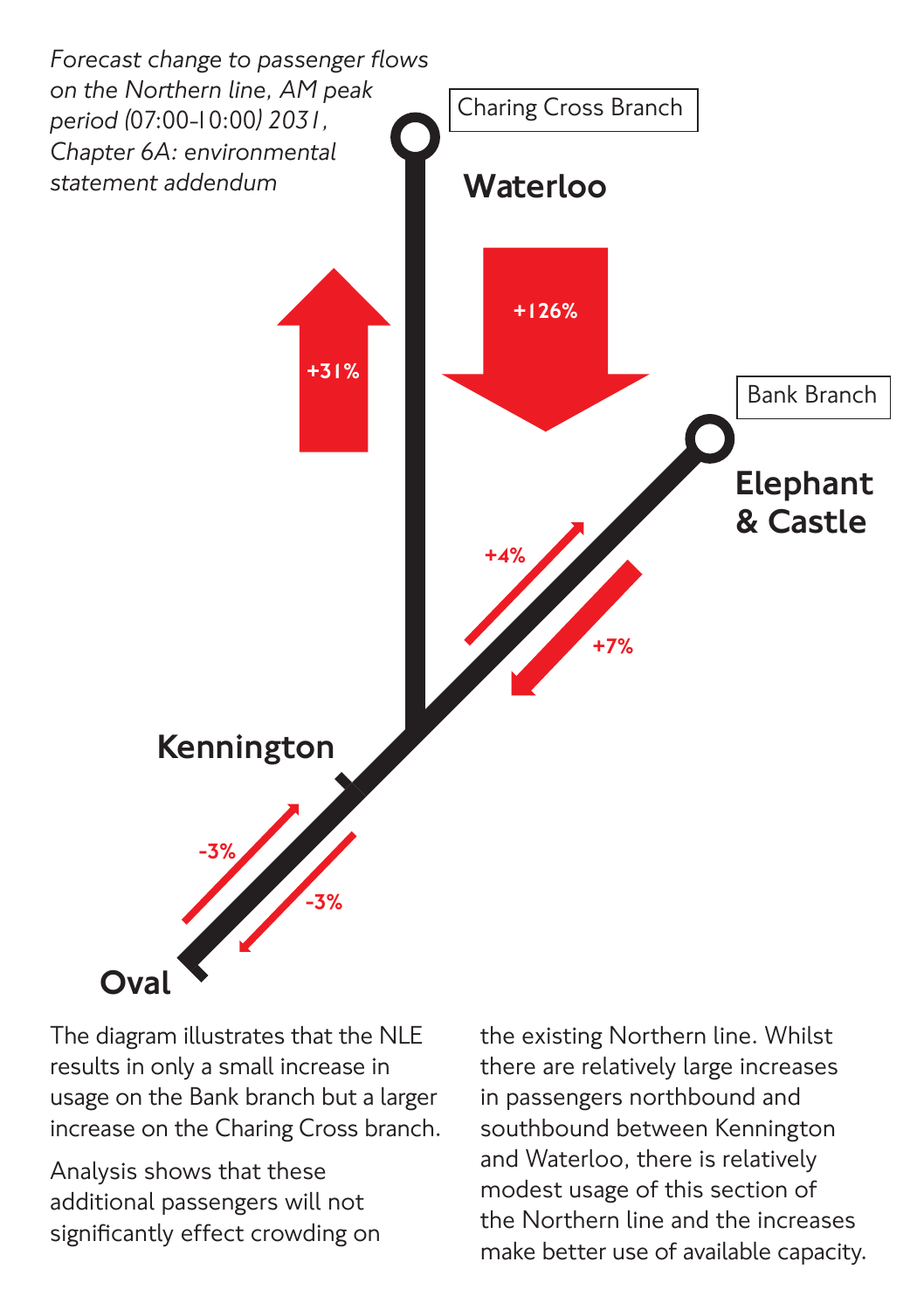

The diagram illustrates that the NLE results in only a small increase in usage on the Bank branch but a larger increase on the Charing Cross branch.

Analysis shows that these additional passengers will not significantly effect crowding on the existing Northern line. Whilst there are relatively large increases in passengers northbound and southbound between Kennington and Waterloo, there is relatively modest usage of this section of the Northern line and the increases make better use of available capacity.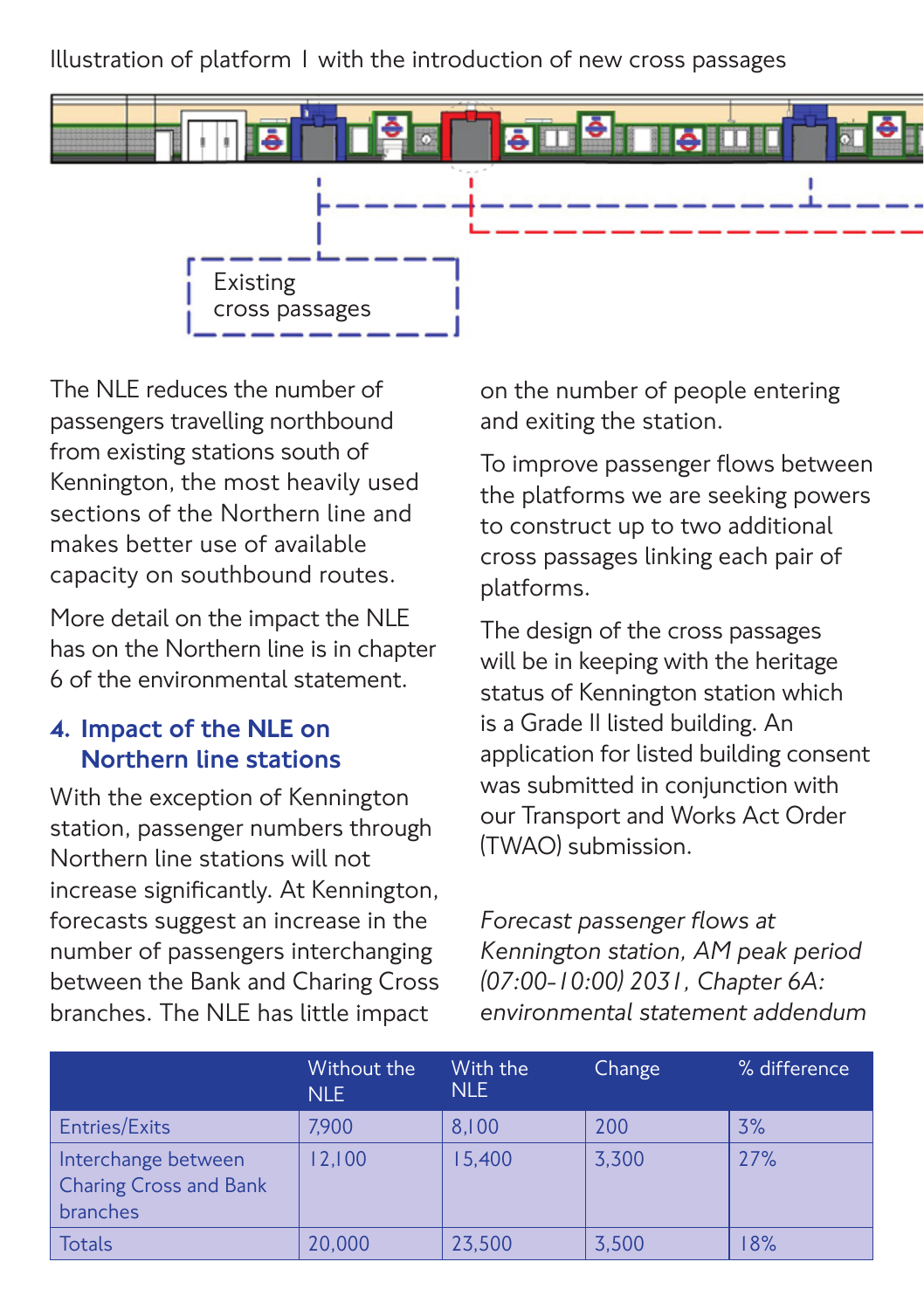Illustration of platform 1 with the introduction of new cross passages



The NLE reduces the number of passengers travelling northbound from existing stations south of Kennington, the most heavily used sections of the Northern line and makes better use of available capacity on southbound routes.

More detail on the impact the NLE has on the Northern line is in chapter 6 of the environmental statement.

#### 4. Impact of the NLE on Northern line stations

With the exception of Kennington station, passenger numbers through Northern line stations will not increase significantly. At Kennington, forecasts suggest an increase in the number of passengers interchanging between the Bank and Charing Cross branches. The NLE has little impact

on the number of people entering and exiting the station.

To improve passenger flows between the platforms we are seeking powers to construct up to two additional cross passages linking each pair of platforms.

The design of the cross passages will be in keeping with the heritage status of Kennington station which is a Grade II listed building. An application for listed building consent was submitted in conjunction with our Transport and Works Act Order (TWAO) submission.

*Forecast passenger flows at Kennington station, AM peak period (07:00-10:00) 2031, Chapter 6A: environmental statement addendum*

|                                                                  | Without the<br><b>NLE</b> | With the<br>NLE. | Change | % difference |
|------------------------------------------------------------------|---------------------------|------------------|--------|--------------|
| Entries/Exits                                                    | 7.900                     | 8.100            | 200    | 3%           |
| Interchange between<br><b>Charing Cross and Bank</b><br>branches | 12,100                    | 15,400           | 3,300  | 27%          |
| <b>Totals</b>                                                    | 20,000                    | 23,500           | 3,500  | 18%          |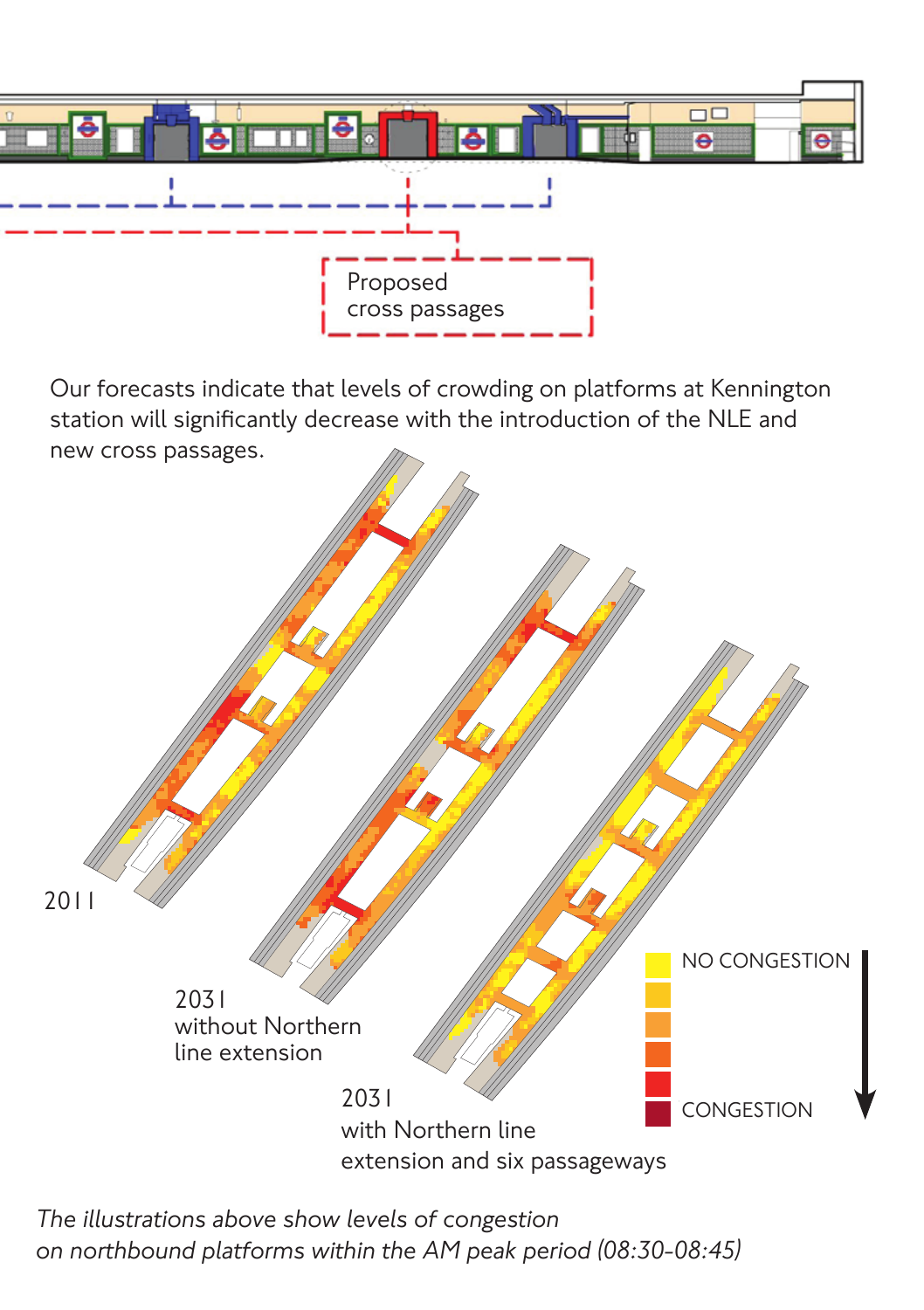

new cross passages. Our forecasts indicate that levels of crowding on platforms at Kennington station will significantly decrease with the introduction of the NLE and



*The illustrations above show levels of congestion on northbound platforms within the AM peak period (08:30-08:45)*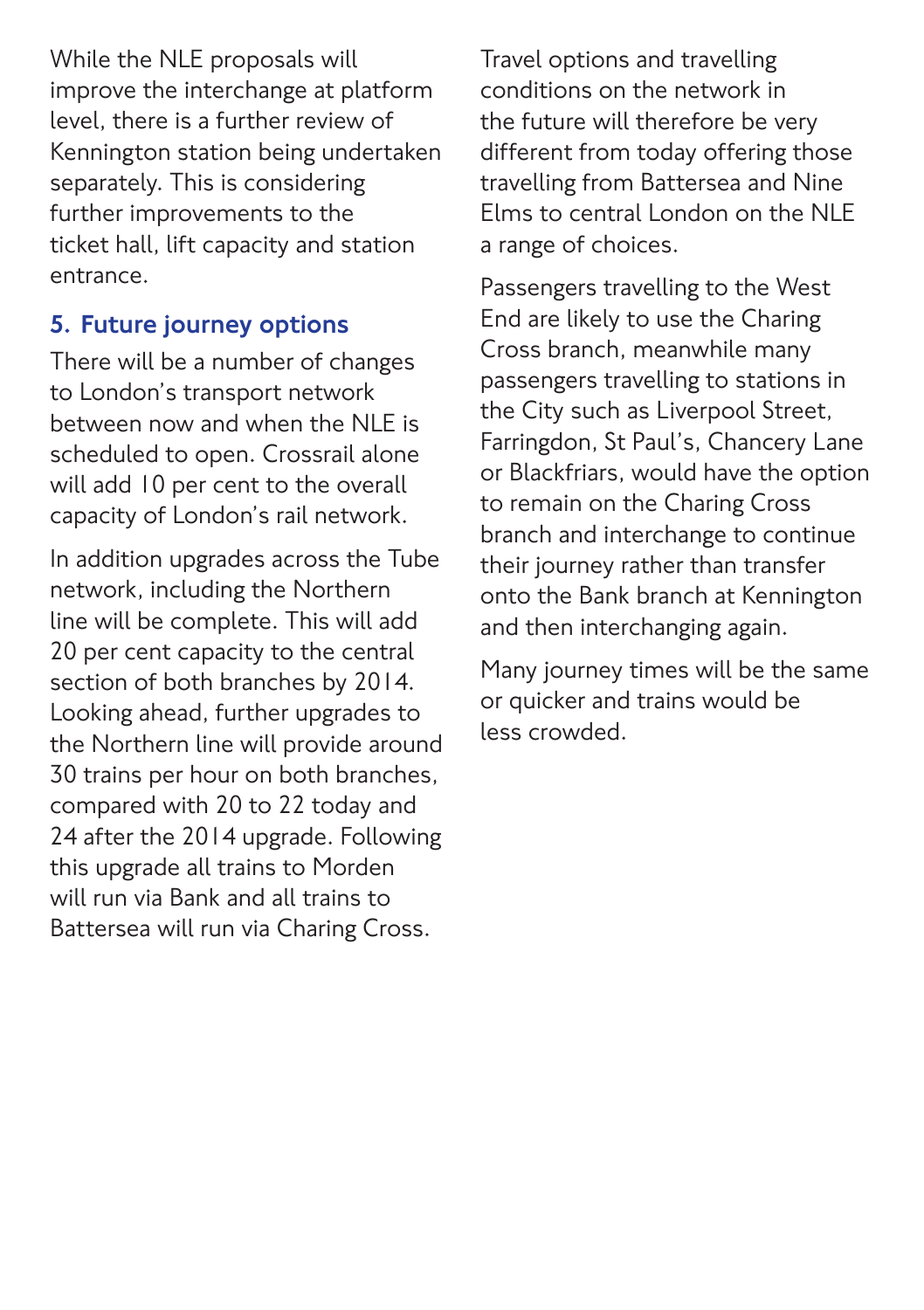While the NLE proposals will improve the interchange at platform level, there is a further review of Kennington station being undertaken separately. This is considering further improvements to the ticket hall, lift capacity and station entrance.

## 5. Future journey options

There will be a number of changes to London's transport network between now and when the NLE is scheduled to open. Crossrail alone will add 10 per cent to the overall capacity of London's rail network.

In addition upgrades across the Tube network, including the Northern line will be complete. This will add 20 per cent capacity to the central section of both branches by 2014. Looking ahead, further upgrades to the Northern line will provide around 30 trains per hour on both branches, compared with 20 to 22 today and 24 after the 2014 upgrade. Following this upgrade all trains to Morden will run via Bank and all trains to Battersea will run via Charing Cross.

Travel options and travelling conditions on the network in the future will therefore be very different from today offering those travelling from Battersea and Nine Elms to central London on the NLE a range of choices.

Passengers travelling to the West End are likely to use the Charing Cross branch, meanwhile many passengers travelling to stations in the City such as Liverpool Street, Farringdon, St Paul's, Chancery Lane or Blackfriars, would have the option to remain on the Charing Cross branch and interchange to continue their journey rather than transfer onto the Bank branch at Kennington and then interchanging again.

Many journey times will be the same or quicker and trains would be less crowded.